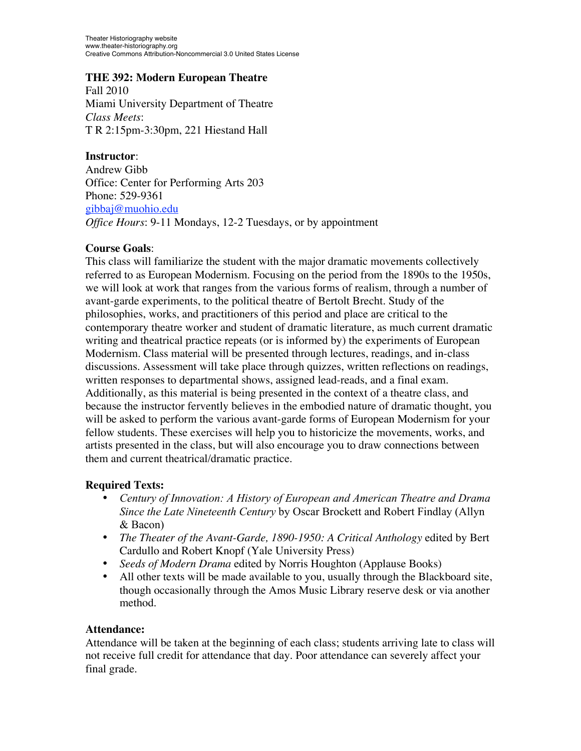Theater Historiography website www.theater-historiography.org Creative Commons Attribution-Noncommercial 3.0 United States License

#### **THE 392: Modern European Theatre**

Fall 2010 Miami University Department of Theatre *Class Meets*: T R 2:15pm-3:30pm, 221 Hiestand Hall

**Instructor**: Andrew Gibb Office: Center for Performing Arts 203 Phone: 529-9361 gibbaj@muohio.edu *Office Hours*: 9-11 Mondays, 12-2 Tuesdays, or by appointment

#### **Course Goals**:

This class will familiarize the student with the major dramatic movements collectively referred to as European Modernism. Focusing on the period from the 1890s to the 1950s, we will look at work that ranges from the various forms of realism, through a number of avant-garde experiments, to the political theatre of Bertolt Brecht. Study of the philosophies, works, and practitioners of this period and place are critical to the contemporary theatre worker and student of dramatic literature, as much current dramatic writing and theatrical practice repeats (or is informed by) the experiments of European Modernism. Class material will be presented through lectures, readings, and in-class discussions. Assessment will take place through quizzes, written reflections on readings, written responses to departmental shows, assigned lead-reads, and a final exam. Additionally, as this material is being presented in the context of a theatre class, and because the instructor fervently believes in the embodied nature of dramatic thought, you will be asked to perform the various avant-garde forms of European Modernism for your fellow students. These exercises will help you to historicize the movements, works, and artists presented in the class, but will also encourage you to draw connections between them and current theatrical/dramatic practice.

## **Required Texts:**

- *Century of Innovation: A History of European and American Theatre and Drama Since the Late Nineteenth Century* by Oscar Brockett and Robert Findlay (Allyn & Bacon)
- *The Theater of the Avant-Garde, 1890-1950: A Critical Anthology* edited by Bert Cardullo and Robert Knopf (Yale University Press)
- *Seeds of Modern Drama* edited by Norris Houghton (Applause Books)
- All other texts will be made available to you, usually through the Blackboard site, though occasionally through the Amos Music Library reserve desk or via another method.

#### **Attendance:**

Attendance will be taken at the beginning of each class; students arriving late to class will not receive full credit for attendance that day. Poor attendance can severely affect your final grade.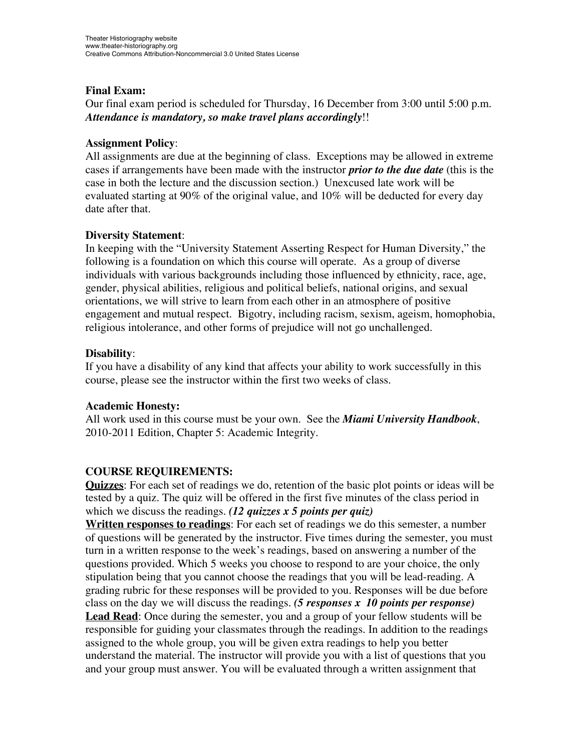# **Final Exam:**

Our final exam period is scheduled for Thursday, 16 December from 3:00 until 5:00 p.m. *Attendance is mandatory, so make travel plans accordingly*!!

## **Assignment Policy**:

All assignments are due at the beginning of class. Exceptions may be allowed in extreme cases if arrangements have been made with the instructor *prior to the due date* (this is the case in both the lecture and the discussion section.) Unexcused late work will be evaluated starting at 90% of the original value, and 10% will be deducted for every day date after that.

## **Diversity Statement**:

In keeping with the "University Statement Asserting Respect for Human Diversity," the following is a foundation on which this course will operate. As a group of diverse individuals with various backgrounds including those influenced by ethnicity, race, age, gender, physical abilities, religious and political beliefs, national origins, and sexual orientations, we will strive to learn from each other in an atmosphere of positive engagement and mutual respect. Bigotry, including racism, sexism, ageism, homophobia, religious intolerance, and other forms of prejudice will not go unchallenged.

## **Disability**:

If you have a disability of any kind that affects your ability to work successfully in this course, please see the instructor within the first two weeks of class.

## **Academic Honesty:**

All work used in this course must be your own. See the *Miami University Handbook*, 2010-2011 Edition, Chapter 5: Academic Integrity.

# **COURSE REQUIREMENTS:**

**Quizzes**: For each set of readings we do, retention of the basic plot points or ideas will be tested by a quiz. The quiz will be offered in the first five minutes of the class period in which we discuss the readings. *(12 quizzes x 5 points per quiz)*

**Written responses to readings**: For each set of readings we do this semester, a number of questions will be generated by the instructor. Five times during the semester, you must turn in a written response to the week's readings, based on answering a number of the questions provided. Which 5 weeks you choose to respond to are your choice, the only stipulation being that you cannot choose the readings that you will be lead-reading. A grading rubric for these responses will be provided to you. Responses will be due before class on the day we will discuss the readings. *(5 responses x 10 points per response)* **Lead Read**: Once during the semester, you and a group of your fellow students will be responsible for guiding your classmates through the readings. In addition to the readings assigned to the whole group, you will be given extra readings to help you better understand the material. The instructor will provide you with a list of questions that you and your group must answer. You will be evaluated through a written assignment that